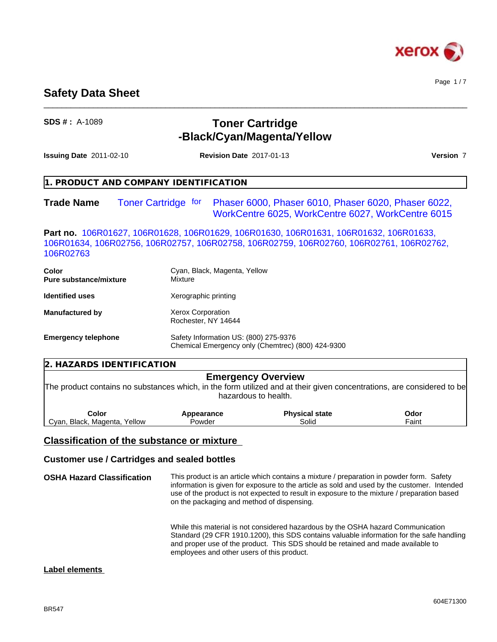

Page 1 / 7

# **Safety Data Sheet**

# **SDS # :** A-1089 **Toner Cartridge -Black/Cyan/Magenta/Yellow**

 $\_$  ,  $\_$  ,  $\_$  ,  $\_$  ,  $\_$  ,  $\_$  ,  $\_$  ,  $\_$  ,  $\_$  ,  $\_$  ,  $\_$  ,  $\_$  ,  $\_$  ,  $\_$  ,  $\_$  ,  $\_$  ,  $\_$  ,  $\_$  ,  $\_$  ,  $\_$  ,  $\_$  ,  $\_$  ,  $\_$  ,  $\_$  ,  $\_$  ,  $\_$  ,  $\_$  ,  $\_$  ,  $\_$  ,  $\_$  ,  $\_$  ,  $\_$  ,  $\_$  ,  $\_$  ,  $\_$  ,  $\_$  ,  $\_$  ,

| <b>Issuing Date 2011-02-10</b>         | <b>Revision Date 2017-01-13</b>                                                                                                                                                         | Version 7                                                                                                |
|----------------------------------------|-----------------------------------------------------------------------------------------------------------------------------------------------------------------------------------------|----------------------------------------------------------------------------------------------------------|
|                                        | 1. PRODUCT AND COMPANY IDENTIFICATION                                                                                                                                                   |                                                                                                          |
| Trade Name                             | <b>Toner Cartridge for</b>                                                                                                                                                              | Phaser 6000, Phaser 6010, Phaser 6020, Phaser 6022,<br>WorkCentre 6025, WorkCentre 6027, WorkCentre 6015 |
| 106R02763                              | <b>Part no.</b> 106R01627, 106R01628, 106R01629, 106R01630, 106R01631, 106R01632, 106R01633,<br>106R01634, 106R02756, 106R02757, 106R02758, 106R02759, 106R02760, 106R02761, 106R02762, |                                                                                                          |
| <b>Color</b><br>Pure substance/mixture | Cyan, Black, Magenta, Yellow<br>Mixture                                                                                                                                                 |                                                                                                          |
| Identified uses                        | Xerographic printing                                                                                                                                                                    |                                                                                                          |
| Manufactured by                        | Xerox Corporation<br>Rochester, NY 14644                                                                                                                                                |                                                                                                          |
| <b>Emergency telephone</b>             | Safety Information US: (800) 275-9376<br>Chemical Emergency only (Chemtrec) (800) 424-9300                                                                                              |                                                                                                          |
| 2. HAZARDS IDENTIFICATION              |                                                                                                                                                                                         |                                                                                                          |
|                                        | <b>Emergency Overview</b>                                                                                                                                                               |                                                                                                          |

The product contains no substances which, in the form utilized and at their given concentrations, are considered to be hazardous to health.

| Color                                | Appearance | Physical state | Odor |  |
|--------------------------------------|------------|----------------|------|--|
| Yellow<br>Black.<br>Cvan,<br>Magenta | Powder     | Solid          | aint |  |

### **Classification of the substance or mixture**

### **Customer use / Cartridges and sealed bottles**

**OSHA Hazard Classification** This product is an article which contains a mixture / preparation in powder form. Safety information is given for exposure to the article as sold and used by the customer. Intended use of the product is not expected to result in exposure to the mixture / preparation based on the packaging and method of dispensing. While this material is not considered hazardous by the OSHA hazard Communication Standard (29 CFR 1910.1200), this SDS contains valuable information for the safe handling and proper use of the product. This SDS should be retained and made available to

employees and other users of this product.

### **Label elements**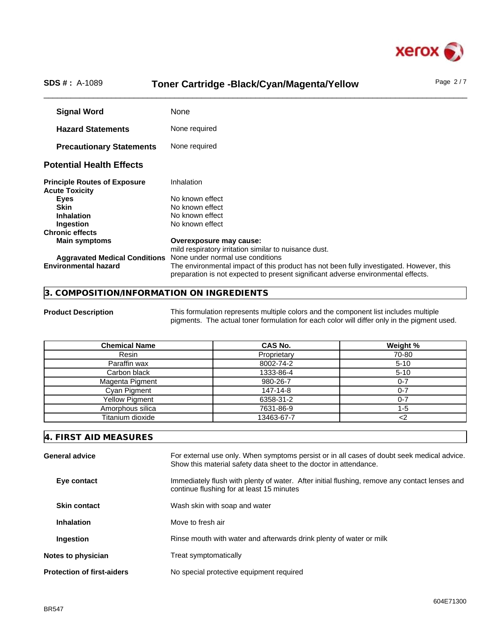

# SDS #: A-1089 **Toner Cartridge -Black/Cyan/Magenta/Yellow** Page 2/7

**Signal Word** None **Hazard Statements** None required **Precautionary Statements** None required **Potential Health Effects Principle Routes of Exposure** Inhalation **Acute Toxicity Eyes** No known effect **Skin** No known effect **Inhalation** No known effect **Ingestion** No known effect **Chronic effects Main symptoms Overexposure may cause:** mild respiratory irritation similar to nuisance dust. **Aggravated Medical Conditions** None under normal use conditions The environmental impact of this product has not been fully investigated. However, this preparation is not expected to present significant adverse environmental effects.

#### **3. COMPOSITION/INFORMATION ON INGREDIENTS**

**Product Description** This formulation represents multiple colors and the component list includes multiple pigments. The actual toner formulation for each color will differ only in the pigment used.

| <b>Chemical Name</b>  | <b>CAS No.</b> | Weight % |
|-----------------------|----------------|----------|
| Resin                 | Proprietary    | 70-80    |
| Paraffin wax          | 8002-74-2      | $5 - 10$ |
| Carbon black          | 1333-86-4      | $5 - 10$ |
| Magenta Pigment       | 980-26-7       | 0-7      |
| Cyan Pigment          | 147-14-8       | ი-7      |
| <b>Yellow Pigment</b> | 6358-31-2      | ่ 0-7    |
| Amorphous silica      | 7631-86-9      | 1-5      |
| Titanium dioxide      | 13463-67-7     |          |

#### **4. FIRST AID MEASURES**

| General advice                    | For external use only. When symptoms persist or in all cases of doubt seek medical advice.<br>Show this material safety data sheet to the doctor in attendance. |
|-----------------------------------|-----------------------------------------------------------------------------------------------------------------------------------------------------------------|
| Eye contact                       | Immediately flush with plenty of water. After initial flushing, remove any contact lenses and<br>continue flushing for at least 15 minutes                      |
| <b>Skin contact</b>               | Wash skin with soap and water                                                                                                                                   |
| <b>Inhalation</b>                 | Move to fresh air                                                                                                                                               |
| Ingestion                         | Rinse mouth with water and afterwards drink plenty of water or milk                                                                                             |
| Notes to physician                | Treat symptomatically                                                                                                                                           |
| <b>Protection of first-aiders</b> | No special protective equipment required                                                                                                                        |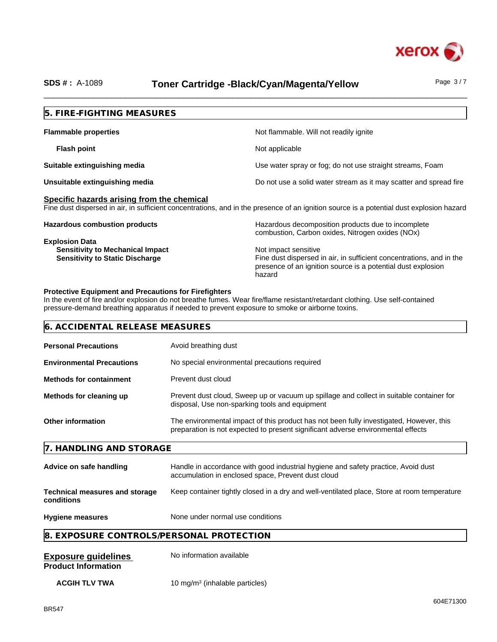

# SDS #: A-1089 **Toner Cartridge -Black/Cyan/Magenta/Yellow** Page 3/7

| Not flammable. Will not readily ignite                                                                                                                                 |
|------------------------------------------------------------------------------------------------------------------------------------------------------------------------|
| Not applicable                                                                                                                                                         |
| Use water spray or fog; do not use straight streams, Foam                                                                                                              |
| Do not use a solid water stream as it may scatter and spread fire                                                                                                      |
| Fine dust dispersed in air, in sufficient concentrations, and in the presence of an ignition source is a potential dust explosion hazard                               |
| Hazardous decomposition products due to incomplete<br>combustion, Carbon oxides, Nitrogen oxides (NOx)                                                                 |
| Not impact sensitive<br>Fine dust dispersed in air, in sufficient concentrations, and in the<br>presence of an ignition source is a potential dust explosion<br>hazard |
|                                                                                                                                                                        |

In the event of fire and/or explosion do not breathe fumes. Wear fire/flame resistant/retardant clothing. Use self-contained pressure-demand breathing apparatus if needed to prevent exposure to smoke or airborne toxins.

| 6. ACCIDENTAL RELEASE MEASURES<br><b>Personal Precautions</b><br>Avoid breathing dust<br><b>Environmental Precautions</b><br>No special environmental precautions required<br>Prevent dust cloud<br><b>Methods for containment</b><br>Methods for cleaning up<br>Prevent dust cloud, Sweep up or vacuum up spillage and collect in suitable container for<br>disposal, Use non-sparking tools and equipment<br>The environmental impact of this product has not been fully investigated, However, this<br><b>Other information</b><br>preparation is not expected to present significant adverse environmental effects<br>7. HANDLING AND STORAGE<br>Handle in accordance with good industrial hygiene and safety practice, Avoid dust<br>Advice on safe handling<br>accumulation in enclosed space, Prevent dust cloud<br>Keep container tightly closed in a dry and well-ventilated place, Store at room temperature<br><b>Technical measures and storage</b><br>conditions<br>None under normal use conditions<br><b>Hygiene measures</b><br>8. EXPOSURE CONTROLS/PERSONAL PROTECTION |
|------------------------------------------------------------------------------------------------------------------------------------------------------------------------------------------------------------------------------------------------------------------------------------------------------------------------------------------------------------------------------------------------------------------------------------------------------------------------------------------------------------------------------------------------------------------------------------------------------------------------------------------------------------------------------------------------------------------------------------------------------------------------------------------------------------------------------------------------------------------------------------------------------------------------------------------------------------------------------------------------------------------------------------------------------------------------------------------|
|                                                                                                                                                                                                                                                                                                                                                                                                                                                                                                                                                                                                                                                                                                                                                                                                                                                                                                                                                                                                                                                                                          |
|                                                                                                                                                                                                                                                                                                                                                                                                                                                                                                                                                                                                                                                                                                                                                                                                                                                                                                                                                                                                                                                                                          |
|                                                                                                                                                                                                                                                                                                                                                                                                                                                                                                                                                                                                                                                                                                                                                                                                                                                                                                                                                                                                                                                                                          |
|                                                                                                                                                                                                                                                                                                                                                                                                                                                                                                                                                                                                                                                                                                                                                                                                                                                                                                                                                                                                                                                                                          |
|                                                                                                                                                                                                                                                                                                                                                                                                                                                                                                                                                                                                                                                                                                                                                                                                                                                                                                                                                                                                                                                                                          |
|                                                                                                                                                                                                                                                                                                                                                                                                                                                                                                                                                                                                                                                                                                                                                                                                                                                                                                                                                                                                                                                                                          |
|                                                                                                                                                                                                                                                                                                                                                                                                                                                                                                                                                                                                                                                                                                                                                                                                                                                                                                                                                                                                                                                                                          |
|                                                                                                                                                                                                                                                                                                                                                                                                                                                                                                                                                                                                                                                                                                                                                                                                                                                                                                                                                                                                                                                                                          |
|                                                                                                                                                                                                                                                                                                                                                                                                                                                                                                                                                                                                                                                                                                                                                                                                                                                                                                                                                                                                                                                                                          |
|                                                                                                                                                                                                                                                                                                                                                                                                                                                                                                                                                                                                                                                                                                                                                                                                                                                                                                                                                                                                                                                                                          |
|                                                                                                                                                                                                                                                                                                                                                                                                                                                                                                                                                                                                                                                                                                                                                                                                                                                                                                                                                                                                                                                                                          |
| No information available<br><b>Exposure guidelines</b><br><b>Product Information</b>                                                                                                                                                                                                                                                                                                                                                                                                                                                                                                                                                                                                                                                                                                                                                                                                                                                                                                                                                                                                     |

**ACGIH TLV TWA** 10 mg/m<sup>3</sup> (inhalable particles)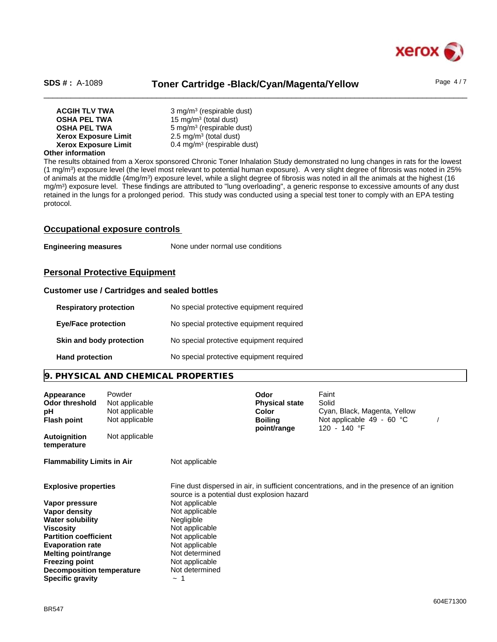

# SDS #: A-1089 **Toner Cartridge -Black/Cyan/Magenta/Yellow** Page 4/7

| <b>ACGIH TLV TWA</b>        | 3 mg/m <sup>3</sup> (respirable dust)  |  |
|-----------------------------|----------------------------------------|--|
| <b>OSHA PEL TWA</b>         | 15 mg/m <sup>3</sup> (total dust)      |  |
| <b>OSHA PEL TWA</b>         | $5 \text{ mg/m}^3$ (respirable dust)   |  |
| <b>Xerox Exposure Limit</b> | $2.5 \text{ mg/m}^3$ (total dust)      |  |
| <b>Xerox Exposure Limit</b> | $0.4 \text{ mg/m}^3$ (respirable dust) |  |
|                             |                                        |  |

#### **Other information**

The results obtained from a Xerox sponsored Chronic Toner Inhalation Study demonstrated no lung changes in rats for the lowest (1 mg/m<sup>3</sup> ) exposure level (the level most relevant to potential human exposure). A very slight degree of fibrosis was noted in 25% of animals at the middle (4mg/m3) exposure level, while a slight degree of fibrosis was noted in all the animals at the highest (16 mg/m<sup>3</sup>) exposure level. These findings are attributed to "lung overloading", a generic response to excessive amounts of any dust retained in the lungs for a prolonged period. This study was conducted using a special testtoner to comply with an EPA testing protocol.

#### **Occupational exposure controls**

**Engineering measures** None under normal use conditions

### **Personal Protective Equipment**

#### **Customer use / Cartridges and sealed bottles**

| <b>Respiratory protection</b> | No special protective equipment required |
|-------------------------------|------------------------------------------|
| <b>Eye/Face protection</b>    | No special protective equipment required |
| Skin and body protection      | No special protective equipment required |
| <b>Hand protection</b>        | No special protective equipment required |

### **9. PHYSICAL AND CHEMICAL PROPERTIES**

| Appearance<br>Odor threshold<br>рH<br><b>Flash point</b> | Powder<br>Not applicable<br>Not applicable<br>Not applicable |                                             | Odor<br><b>Physical state</b><br>Color<br><b>Boiling</b><br>point/range | Faint<br>Solid<br>Cyan, Black, Magenta, Yellow<br>Not applicable $49 - 60$ °C<br>120 - 140 °F |  |
|----------------------------------------------------------|--------------------------------------------------------------|---------------------------------------------|-------------------------------------------------------------------------|-----------------------------------------------------------------------------------------------|--|
| Autoignition<br>temperature                              | Not applicable                                               |                                             |                                                                         |                                                                                               |  |
| <b>Flammability Limits in Air</b>                        |                                                              | Not applicable                              |                                                                         |                                                                                               |  |
| <b>Explosive properties</b>                              |                                                              | source is a potential dust explosion hazard |                                                                         | Fine dust dispersed in air, in sufficient concentrations, and in the presence of an ignition  |  |
| Vapor pressure                                           |                                                              | Not applicable                              |                                                                         |                                                                                               |  |
| Vapor density                                            |                                                              | Not applicable                              |                                                                         |                                                                                               |  |
| <b>Water solubility</b>                                  |                                                              | <b>Negligible</b>                           |                                                                         |                                                                                               |  |
| Viscosity                                                |                                                              | Not applicable                              |                                                                         |                                                                                               |  |
| <b>Partition coefficient</b>                             |                                                              | Not applicable                              |                                                                         |                                                                                               |  |
| <b>Evaporation rate</b>                                  |                                                              | Not applicable                              |                                                                         |                                                                                               |  |
| Melting point/range                                      |                                                              | Not determined                              |                                                                         |                                                                                               |  |
| <b>Freezing point</b>                                    |                                                              | Not applicable                              |                                                                         |                                                                                               |  |
| Decomposition temperature                                |                                                              | Not determined                              |                                                                         |                                                                                               |  |
| <b>Specific gravity</b>                                  |                                                              | $\widetilde{\phantom{m}}$                   |                                                                         |                                                                                               |  |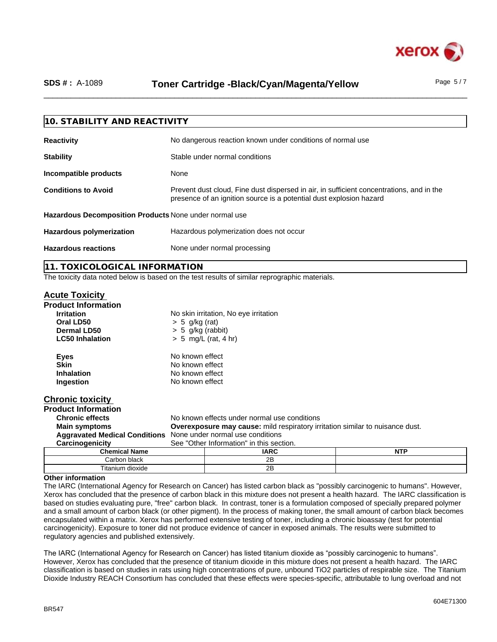

# SDS #: A-1089 **Toner Cartridge -Black/Cyan/Magenta/Yellow** Page 5/7

| 10. STABILITY AND REACTIVITY                           |                                                                                                                                                                 |  |
|--------------------------------------------------------|-----------------------------------------------------------------------------------------------------------------------------------------------------------------|--|
| <b>Reactivity</b>                                      | No dangerous reaction known under conditions of normal use                                                                                                      |  |
| <b>Stability</b>                                       | Stable under normal conditions                                                                                                                                  |  |
| Incompatible products                                  | None                                                                                                                                                            |  |
| <b>Conditions to Avoid</b>                             | Prevent dust cloud, Fine dust dispersed in air, in sufficient concentrations, and in the<br>presence of an ignition source is a potential dust explosion hazard |  |
| Hazardous Decomposition Products None under normal use |                                                                                                                                                                 |  |
| <b>Hazardous polymerization</b>                        | Hazardous polymerization does not occur                                                                                                                         |  |
| <b>Hazardous reactions</b>                             | None under normal processing                                                                                                                                    |  |
|                                                        |                                                                                                                                                                 |  |

**11. TOXICOLOGICAL INFORMATION**

The toxicity data noted below is based on the test results of similar reprographic materials.

Titanium dioxide 2B

#### **Acute Toxicity**

| <b>Product Information</b>                                     |                                                                                      |                                              |            |  |  |  |
|----------------------------------------------------------------|--------------------------------------------------------------------------------------|----------------------------------------------|------------|--|--|--|
| <b>Irritation</b>                                              |                                                                                      | No skin irritation, No eye irritation        |            |  |  |  |
| Oral LD50                                                      | $> 5$ g/kg (rat)                                                                     |                                              |            |  |  |  |
| Dermal LD50                                                    | $> 5$ g/kg (rabbit)                                                                  |                                              |            |  |  |  |
| <b>LC50 Inhalation</b>                                         |                                                                                      | $> 5$ mg/L (rat, 4 hr)                       |            |  |  |  |
| <b>Eyes</b>                                                    | No known effect                                                                      |                                              |            |  |  |  |
| <b>Skin</b>                                                    |                                                                                      | No known effect                              |            |  |  |  |
| <b>Inhalation</b>                                              |                                                                                      | No known effect                              |            |  |  |  |
| Ingestion                                                      | No known effect                                                                      |                                              |            |  |  |  |
| <b>Chronic toxicity</b>                                        |                                                                                      |                                              |            |  |  |  |
| <b>Product Information</b>                                     |                                                                                      |                                              |            |  |  |  |
| <b>Chronic effects</b>                                         |                                                                                      | No known effects under normal use conditions |            |  |  |  |
| <b>Main symptoms</b>                                           | <b>Overexposure may cause:</b> mild respiratory irritation similar to nuisance dust. |                                              |            |  |  |  |
| Aggravated Medical Conditions None under normal use conditions |                                                                                      |                                              |            |  |  |  |
| Carcinogenicity                                                | See "Other Information" in this section.                                             |                                              |            |  |  |  |
| <b>Chemical Name</b>                                           |                                                                                      | <b>IARC</b>                                  | <b>NTP</b> |  |  |  |
| Carbon black                                                   |                                                                                      | 2B                                           |            |  |  |  |

#### **Other information**

The IARC (International Agency for Research on Cancer) has listed carbon black as "possibly carcinogenic to humans". However, Xerox has concluded that the presence of carbon black in this mixture does not present a health hazard. The IARC classification is based on studies evaluating pure, "free" carbon black. In contrast, toner is a formulation composed of specially prepared polymer and a small amount of carbon black (or other pigment). In the process of making toner, the small amount of carbon black becomes encapsulated within a matrix. Xerox has performed extensive testing of toner, including a chronic bioassay (test for potential carcinogenicity). Exposure to toner did not produce evidence of cancer in exposed animals. The results were submitted to regulatory agencies and published extensively.

The IARC (International Agency for Research on Cancer) has listed titanium dioxide as "possibly carcinogenic to humans". However, Xerox has concluded that the presence of titanium dioxide in this mixture does not present a health hazard. The IARC classification is based on studies in rats using high concentrations of pure, unbound TiO2 particles of respirable size. The Titanium Dioxide Industry REACH Consortium has concluded that these effects were species-specific, attributable to lung overload and not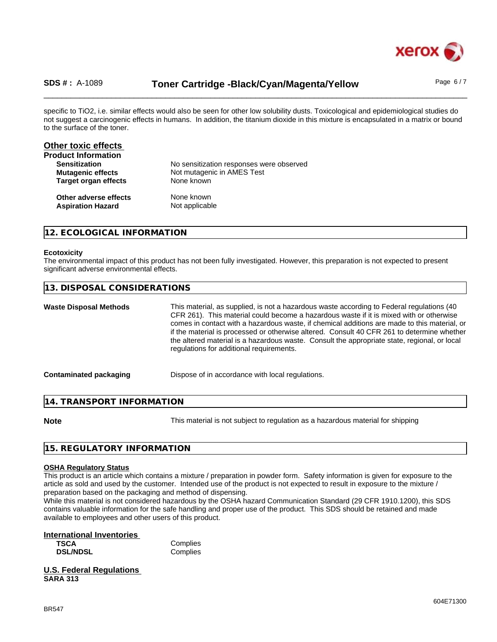

# SDS #: A-1089 **Toner Cartridge -Black/Cyan/Magenta/Yellow** Page 6/7

specific to TiO2, i.e. similar effects would also be seen for other low solubility dusts. Toxicological and epidemiological studies do not suggest a carcinogenic effects in humans. In addition, the titanium dioxide in this mixture is encapsulated in a matrix or bound to the surface of the toner.

| Other toxic effects         |                                          |  |
|-----------------------------|------------------------------------------|--|
| <b>Product Information</b>  |                                          |  |
| <b>Sensitization</b>        | No sensitization responses were observed |  |
| <b>Mutagenic effects</b>    | Not mutagenic in AMES Test               |  |
| <b>Target organ effects</b> | None known                               |  |
| Other adverse effects       | None known                               |  |
| <b>Aspiration Hazard</b>    | Not applicable                           |  |

### **12. ECOLOGICAL INFORMATION**

#### **Ecotoxicity**

The environmental impact of this product has not been fully investigated. However, this preparation is not expected to present significant adverse environmental effects.

| 13. DISPOSAL CONSIDERATIONS   |                                                                                                                                                                                                                                                                                                                                                                                                                                                                                                                                |
|-------------------------------|--------------------------------------------------------------------------------------------------------------------------------------------------------------------------------------------------------------------------------------------------------------------------------------------------------------------------------------------------------------------------------------------------------------------------------------------------------------------------------------------------------------------------------|
| <b>Waste Disposal Methods</b> | This material, as supplied, is not a hazardous waste according to Federal regulations (40<br>CFR 261). This material could become a hazardous waste if it is mixed with or otherwise<br>comes in contact with a hazardous waste, if chemical additions are made to this material, or<br>if the material is processed or otherwise altered. Consult 40 CFR 261 to determine whether<br>the altered material is a hazardous waste. Consult the appropriate state, regional, or local<br>regulations for additional requirements. |
| <b>Contaminated packaging</b> | Dispose of in accordance with local regulations.                                                                                                                                                                                                                                                                                                                                                                                                                                                                               |
| 14. TRANSPORT INFORMATION     |                                                                                                                                                                                                                                                                                                                                                                                                                                                                                                                                |

**Note** This material is not subject to regulation as a hazardous material for shipping

#### **15. REGULATORY INFORMATION**

#### **OSHA Regulatory Status**

This product is an article which contains a mixture / preparation in powder form. Safety information is given for exposure to the article as sold and used by the customer. Intended use of the product is not expected to result in exposure to the mixture / preparation based on the packaging and method of dispensing.

While this material is not considered hazardous by the OSHA hazard Communication Standard (29 CFR 1910.1200), this SDS contains valuable information for the safe handling and proper use of the product. This SDS should be retained and made available to employees and other users of this product.

#### **International Inventories**

| <b>TSCA</b>     |  |
|-----------------|--|
| <b>DSL/NDSL</b> |  |

**Complies** Complies

| <b>U.S. Federal Regulations</b> |  |
|---------------------------------|--|
| <b>SARA 313</b>                 |  |